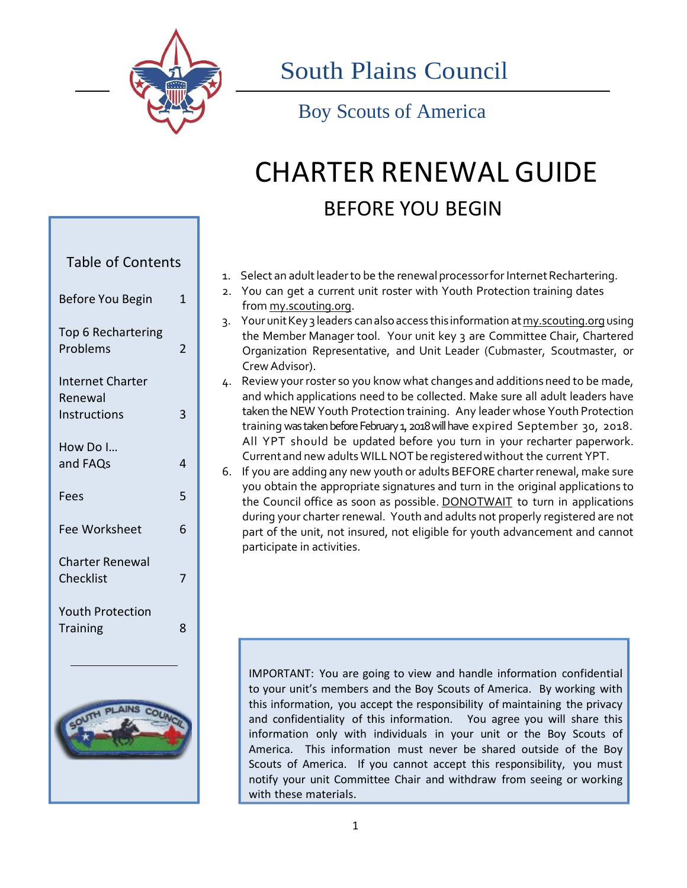

South Plains Council

Boy Scouts of America

# CHARTER RENEWAL GUIDE BEFORE YOU BEGIN

| <b>Table of Contents</b>                                  |   |  |
|-----------------------------------------------------------|---|--|
| Before You Begin                                          | 1 |  |
| Top 6 Rechartering<br>Problems                            | 2 |  |
| <b>Internet Charter</b><br>Renewal<br><b>Instructions</b> | 3 |  |
| How Do I<br>and FAQs                                      | 4 |  |
| Fees                                                      | 5 |  |
| <b>Fee Worksheet</b>                                      | 6 |  |
| Charter Renewal<br>Checklist                              | 7 |  |
| <b>Youth Protection</b><br><b>Training</b>                | 8 |  |
|                                                           |   |  |



1. Select an adult leader to be the renewal processor for Internet Rechartering.

- 2. You can get a current unit roster with Youth Protection training dates from my.scouting.org.
- 3. Your unitKey 3 leaders canalsoaccess this information atmy.scouting.org using the Member Manager tool. Your unit key 3 are Committee Chair, Chartered Organization Representative, and Unit Leader (Cubmaster, Scoutmaster, or Crew Advisor).
- 4. Review your roster so you know what changes and additions need to be made, and which applications need to be collected. Make sure all adult leaders have taken the NEW Youth Protection training. Any leader whose Youth Protection training was taken before February 1, 2018 will have expired September 30, 2018. All YPT should be updated before you turn in your recharter paperwork. Current and new adults WILLNOT be registered without the current YPT.
- 6. If you are adding any new youth or adults BEFORE charterrenewal, make sure you obtain the appropriate signatures and turn in the original applications to the Council office as soon as possible. DONOTWAIT to turn in applications during your charter renewal. Youth and adults not properly registered are not part of the unit, not insured, not eligible for youth advancement and cannot participate in activities.

IMPORTANT: You are going to view and handle information confidential to your unit's members and the Boy Scouts of America. By working with this information, you accept the responsibility of maintaining the privacy and confidentiality of this information. You agree you will share this information only with individuals in your unit or the Boy Scouts of America. This information must never be shared outside of the Boy Scouts of America. If you cannot accept this responsibility, you must notify your unit Committee Chair and withdraw from seeing or working with these materials.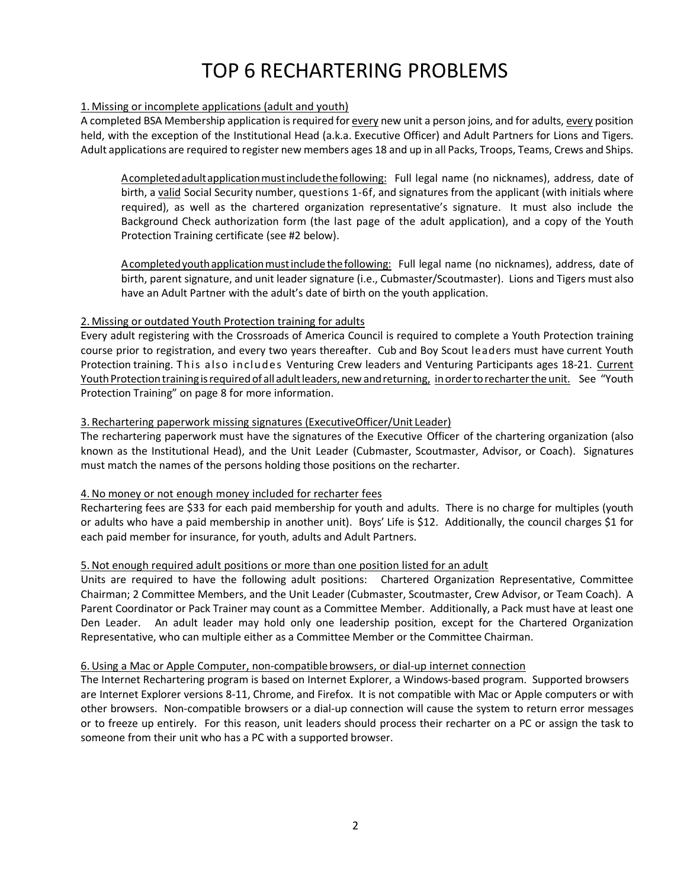## TOP 6 RECHARTERING PROBLEMS

#### 1. Missing or incomplete applications (adult and youth)

A completed BSA Membership application isrequired for every new unit a person joins, and for adults, every position held, with the exception of the Institutional Head (a.k.a. Executive Officer) and Adult Partners for Lions and Tigers. Adult applications are required to register new members ages 18 and up in all Packs, Troops, Teams, Crews and Ships.

Acompleted adult application must include the following: Full legal name (no nicknames), address, date of birth, a valid Social Security number, questions 1-6f, and signatures from the applicant (with initials where required), as well as the chartered organization representative's signature. It must also include the Background Check authorization form (the last page of the adult application), and a copy of the Youth Protection Training certificate (see #2 below).

Acompleted youth application must include the following: Full legal name (no nicknames), address, date of birth, parent signature, and unit leader signature (i.e., Cubmaster/Scoutmaster). Lions and Tigers must also have an Adult Partner with the adult's date of birth on the youth application.

#### 2. Missing or outdated Youth Protection training for adults

Every adult registering with the Crossroads of America Council is required to complete a Youth Protection training course prior to registration, and every two years thereafter. Cub and Boy Scout leaders must have current Youth Protection training. This also includes Venturing Crew leaders and Venturing Participants ages 18-21. Current Youth Protection training is required of all adult leaders, new and returning, in order to recharter the unit. See "Youth Protection Training" on page 8 for more information.

#### 3. Rechartering paperwork missing signatures (ExecutiveOfficer/Unit Leader)

The rechartering paperwork must have the signatures of the Executive Officer of the chartering organization (also known as the Institutional Head), and the Unit Leader (Cubmaster, Scoutmaster, Advisor, or Coach). Signatures must match the names of the persons holding those positions on the recharter.

#### 4.No money or not enough money included for recharter fees

Rechartering fees are \$33 for each paid membership for youth and adults. There is no charge for multiples (youth or adults who have a paid membership in another unit). Boys' Life is \$12. Additionally, the council charges \$1 for each paid member for insurance, for youth, adults and Adult Partners.

#### 5.Not enough required adult positions or more than one position listed for an adult

Units are required to have the following adult positions: Chartered Organization Representative, Committee Chairman; 2 Committee Members, and the Unit Leader (Cubmaster, Scoutmaster, Crew Advisor, or Team Coach). A Parent Coordinator or Pack Trainer may count as a Committee Member. Additionally, a Pack must have at least one Den Leader. An adult leader may hold only one leadership position, except for the Chartered Organization Representative, who can multiple either as a Committee Member or the Committee Chairman.

#### 6.Using a Mac or Apple Computer, non-compatiblebrowsers, or dial-up internet connection

The Internet Rechartering program is based on Internet Explorer, a Windows-based program. Supported browsers are Internet Explorer versions 8-11, Chrome, and Firefox. It is not compatible with Mac or Apple computers or with other browsers. Non-compatible browsers or a dial-up connection will cause the system to return error messages or to freeze up entirely. For this reason, unit leaders should process their recharter on a PC or assign the task to someone from their unit who has a PC with a supported browser.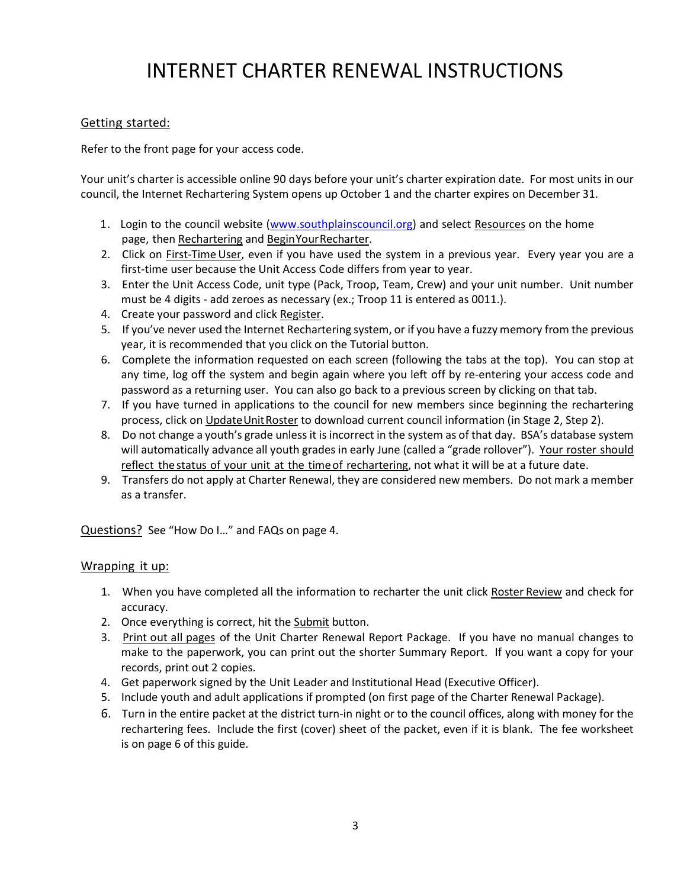## INTERNET CHARTER RENEWAL INSTRUCTIONS

### Getting started:

Refer to the front page for your access code.

Your unit's charter is accessible online 90 days before your unit's charter expiration date. For most units in our council, the Internet Rechartering System opens up October 1 and the charter expires on December 31.

- 1. Login to the council website (www.southplainscouncil.org) and select Resources on the home page, then Rechartering and BeginYourRecharter.
- 2. Click on First-Time User, even if you have used the system in a previous year. Every year you are a first-time user because the Unit Access Code differs from year to year.
- 3. Enter the Unit Access Code, unit type (Pack, Troop, Team, Crew) and your unit number. Unit number must be 4 digits - add zeroes as necessary (ex.; Troop 11 is entered as 0011.).
- 4. Create your password and click Register.
- 5. If you've never used the Internet Rechartering system, or if you have a fuzzy memory from the previous year, it is recommended that you click on the Tutorial button.
- 6. Complete the information requested on each screen (following the tabs at the top). You can stop at any time, log off the system and begin again where you left off by re-entering your access code and password as a returning user. You can also go back to a previous screen by clicking on that tab.
- 7. If you have turned in applications to the council for new members since beginning the rechartering process, click on Update Unit Roster to download current council information (in Stage 2, Step 2).
- 8. Do not change a youth's grade unless it is incorrect in the system as of that day. BSA's database system will automatically advance all youth grades in early June (called a "grade rollover"). Your roster should reflect the status of your unit at the timeof rechartering, not what it will be at a future date.
- 9. Transfers do not apply at Charter Renewal, they are considered new members. Do not mark a member as a transfer.

Questions? See "How Do I…" and FAQs on page 4.

### Wrapping it up:

- 1. When you have completed all the information to recharter the unit click Roster Review and check for accuracy.
- 2. Once everything is correct, hit the Submit button.
- 3. Print out all pages of the Unit Charter Renewal Report Package. If you have no manual changes to make to the paperwork, you can print out the shorter Summary Report. If you want a copy for your records, print out 2 copies.
- 4. Get paperwork signed by the Unit Leader and Institutional Head (Executive Officer).
- 5. Include youth and adult applications if prompted (on first page of the Charter Renewal Package).
- 6. Turn in the entire packet at the district turn-in night or to the council offices, along with money for the rechartering fees. Include the first (cover) sheet of the packet, even if it is blank. The fee worksheet is on page 6 of this guide.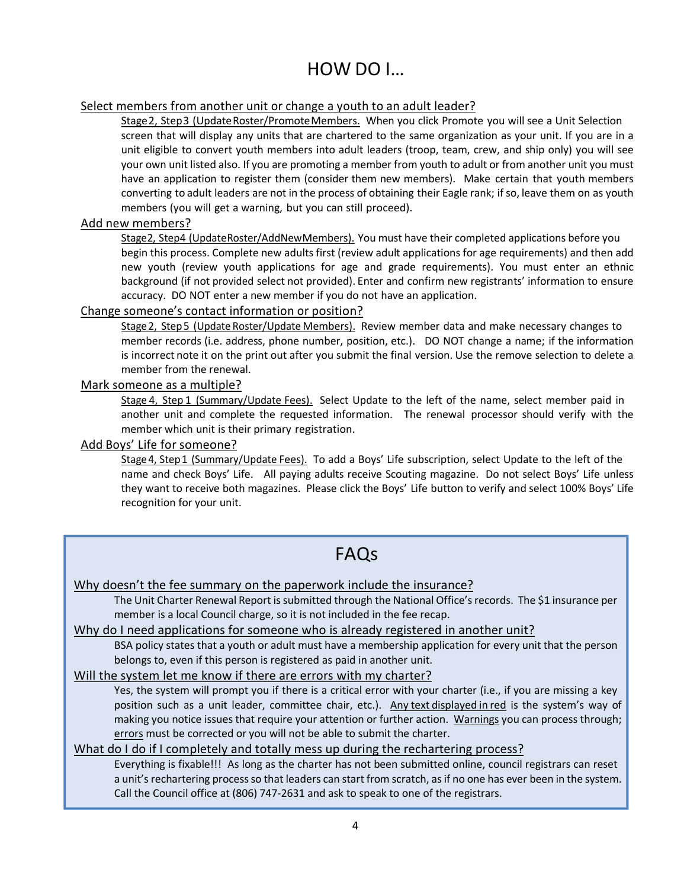### HOW DO I…

### Select members from another unit or change a youth to an adult leader?

Stage2, Step3 (UpdateRoster/PromoteMembers. When you click Promote you will see a Unit Selection screen that will display any units that are chartered to the same organization as your unit. If you are in a unit eligible to convert youth members into adult leaders (troop, team, crew, and ship only) you will see your own unit listed also. If you are promoting a member from youth to adult or from another unit you must have an application to register them (consider them new members). Make certain that youth members converting to adult leaders are not in the process of obtaining their Eagle rank; ifso, leave them on as youth members (you will get a warning, but you can still proceed).

### Add new members?

Stage2, Step4 (UpdateRoster/AddNewMembers). You must have their completed applications before you begin this process. Complete new adults first (review adult applications for age requirements) and then add new youth (review youth applications for age and grade requirements). You must enter an ethnic background (if not provided select not provided). Enter and confirm new registrants' information to ensure accuracy. DO NOT enter a new member if you do not have an application.

### Change someone's contact information or position?

Stage2, Step5 (Update Roster/Update Members). Review member data and make necessary changes to member records (i.e. address, phone number, position, etc.). DO NOT change a name; if the information is incorrect note it on the print out after you submit the final version. Use the remove selection to delete a member from the renewal.

### Mark someone as a multiple?

Stage 4, Step 1 (Summary/Update Fees). Select Update to the left of the name, select member paid in another unit and complete the requested information. The renewal processor should verify with the member which unit is their primary registration.

### Add Boys' Life for someone?

Stage 4, Step 1 (Summary/Update Fees). To add a Boys' Life subscription, select Update to the left of the name and check Boys' Life. All paying adults receive Scouting magazine. Do not select Boys' Life unless they want to receive both magazines. Please click the Boys' Life button to verify and select 100% Boys' Life recognition for your unit.

### FAQs

### Why doesn't the fee summary on the paperwork include the insurance?

The Unit Charter Renewal Report is submitted through the National Office's records. The \$1 insurance per member is a local Council charge, so it is not included in the fee recap.

### Why do I need applications for someone who is already registered in another unit?

BSA policy states that a youth or adult must have a membership application for every unit that the person belongs to, even if this person is registered as paid in another unit.

### Will the system let me know if there are errors with my charter?

Yes, the system will prompt you if there is a critical error with your charter (i.e., if you are missing a key position such as a unit leader, committee chair, etc.). Any text displayed in red is the system's way of making you notice issues that require your attention or further action. Warnings you can process through; errors must be corrected or you will not be able to submit the charter.

### What do I do if I completely and totally mess up during the rechartering process?

Everything is fixable!!! As long as the charter has not been submitted online, council registrars can reset a unit's rechartering process so that leaders can start from scratch, as if no one has ever been in the system. Call the Council office at (806) 747-2631 and ask to speak to one of the registrars.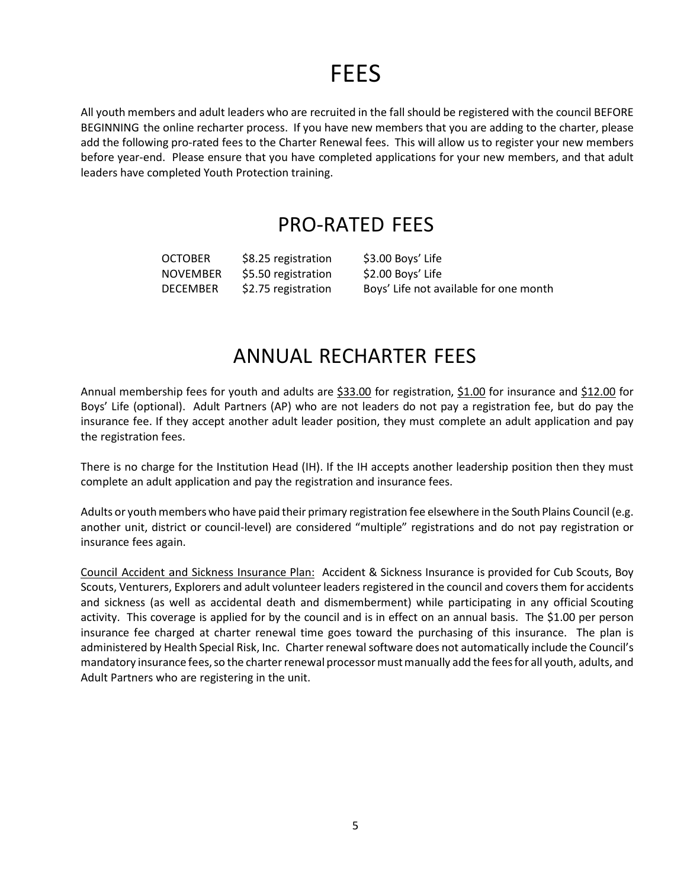## FEES

All youth members and adult leaders who are recruited in the fall should be registered with the council BEFORE BEGINNING the online recharter process. If you have new members that you are adding to the charter, please add the following pro-rated fees to the Charter Renewal fees. This will allow us to register your new members before year-end. Please ensure that you have completed applications for your new members, and that adult leaders have completed Youth Protection training.

### PRO-RATED FEES

OCTOBER \$8.25 registration \$3.00 Boys' Life NOVEMBER \$5.50 registration \$2.00 Boys' Life

DECEMBER \$2.75 registration Boys' Life not available for one month

### ANNUAL RECHARTER FEES

Annual membership fees for youth and adults are \$33.00 for registration, \$1.00 for insurance and \$12.00 for Boys' Life (optional). Adult Partners (AP) who are not leaders do not pay a registration fee, but do pay the insurance fee. If they accept another adult leader position, they must complete an adult application and pay the registration fees.

There is no charge for the Institution Head (IH). If the IH accepts another leadership position then they must complete an adult application and pay the registration and insurance fees.

Adults or youth members who have paid their primary registration fee elsewhere in the South Plains Council (e.g. another unit, district or council-level) are considered "multiple" registrations and do not pay registration or insurance fees again.

Council Accident and Sickness Insurance Plan: Accident & Sickness Insurance is provided for Cub Scouts, Boy Scouts, Venturers, Explorers and adult volunteer leaders registered in the council and coversthem for accidents and sickness (as well as accidental death and dismemberment) while participating in any official Scouting activity. This coverage is applied for by the council and is in effect on an annual basis. The \$1.00 per person insurance fee charged at charter renewal time goes toward the purchasing of this insurance. The plan is administered by Health Special Risk, Inc. Charter renewal software does not automatically include the Council's mandatory insurance fees, so the charter renewal processor must manually add the fees for all youth, adults, and Adult Partners who are registering in the unit.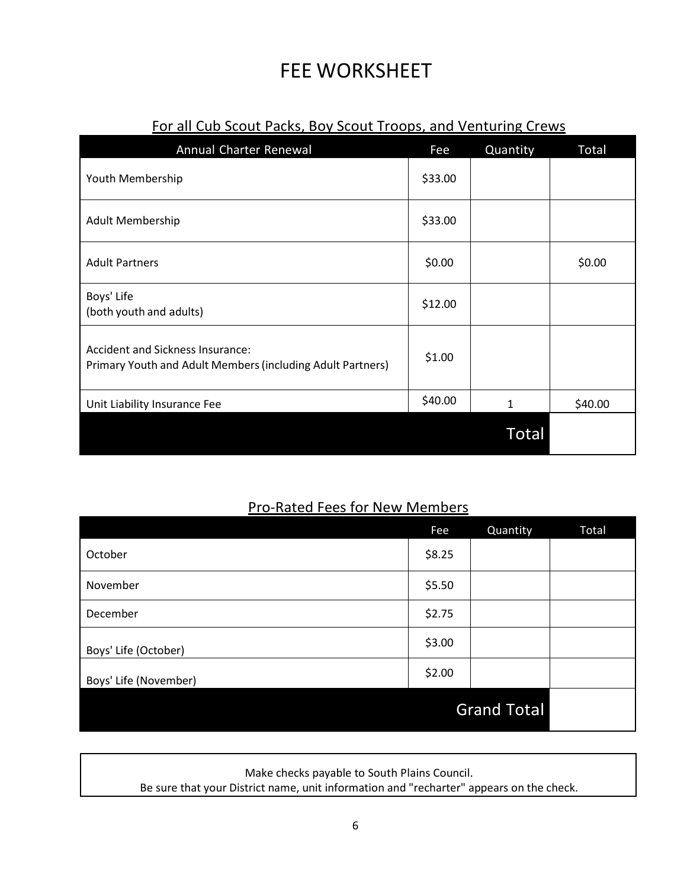## FEE WORKSHEET

| Annual Charter Renewal                                                                         | Fee     | Quantity | Total   |
|------------------------------------------------------------------------------------------------|---------|----------|---------|
| Youth Membership                                                                               | \$33.00 |          |         |
| Adult Membership                                                                               | \$33.00 |          |         |
| <b>Adult Partners</b>                                                                          | \$0.00  |          | \$0.00  |
| Boys' Life<br>(both youth and adults)                                                          | \$12.00 |          |         |
| Accident and Sickness Insurance:<br>Primary Youth and Adult Members (including Adult Partners) | \$1.00  |          |         |
| Unit Liability Insurance Fee                                                                   | \$40.00 | 1        | \$40.00 |
|                                                                                                |         | Total    |         |

### For all Cub Scout Packs, Boy Scout Troops, and Venturing Crews

### Pro-Rated Fees for New Members

|                       | Fee                | Quantity | Total |
|-----------------------|--------------------|----------|-------|
| October               | \$8.25             |          |       |
| November              | \$5.50             |          |       |
| December              | \$2.75             |          |       |
| Boys' Life (October)  | \$3.00             |          |       |
| Boys' Life (November) | \$2.00             |          |       |
|                       | <b>Grand Total</b> |          |       |

Make checks payable to South Plains Council.

Be sure that your District name, unit information and "recharter" appears on the check.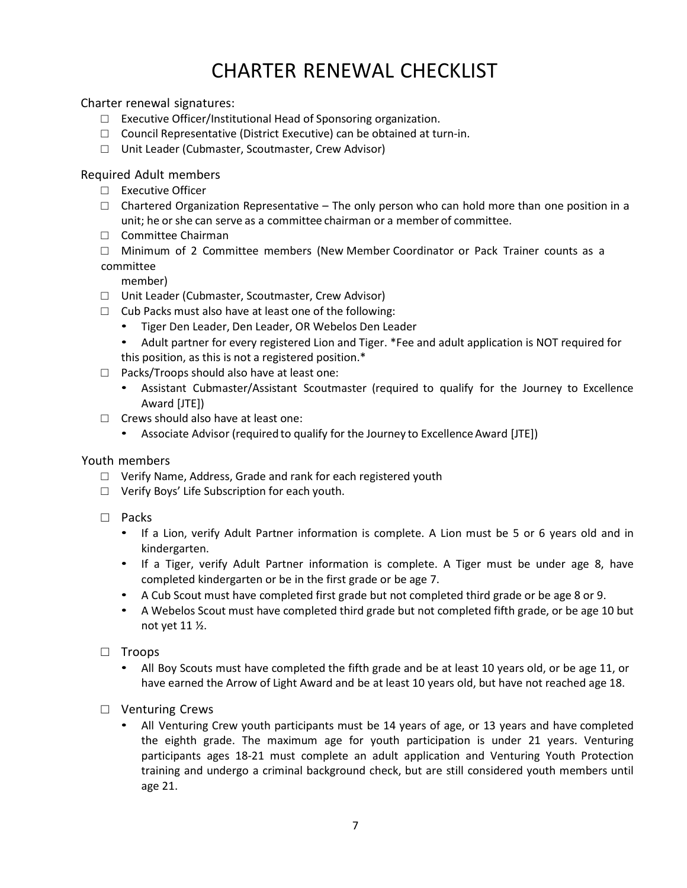## CHARTER RENEWAL CHECKLIST

Charter renewal signatures:

- □ Executive Officer/Institutional Head of Sponsoring organization.
- □ Council Representative (District Executive) can be obtained at turn-in.
- □ Unit Leader (Cubmaster, Scoutmaster, Crew Advisor)

Required Adult members

- □ Executive Officer
- $\Box$  Chartered Organization Representative The only person who can hold more than one position in a unit; he or she can serve as a committee chairman or a member of committee.
- □ Committee Chairman
- $\Box$  Minimum of 2 Committee members (New Member Coordinator or Pack Trainer counts as a committee

member)

- □ Unit Leader (Cubmaster, Scoutmaster, Crew Advisor)
- $\Box$  Cub Packs must also have at least one of the following:
	- Tiger Den Leader, Den Leader, OR Webelos Den Leader
	- Adult partner for every registered Lion and Tiger. \*Fee and adult application is NOT required for this position, as this is not a registered position.\*
- □ Packs/Troops should also have at least one:
	- Assistant Cubmaster/Assistant Scoutmaster (required to qualify for the Journey to Excellence Award [JTE])
- □ Crews should also have at least one:
	- Associate Advisor (required to qualify for the Journey to Excellence Award [JTE])

### Youth members

- □ Verify Name, Address, Grade and rank for each registered youth
- □ Verify Boys' Life Subscription for each youth.
- □ Packs
	- If a Lion, verify Adult Partner information is complete. A Lion must be 5 or 6 years old and in kindergarten.
	- If a Tiger, verify Adult Partner information is complete. A Tiger must be under age 8, have completed kindergarten or be in the first grade or be age 7.
	- A Cub Scout must have completed first grade but not completed third grade or be age 8 or 9.
	- A Webelos Scout must have completed third grade but not completed fifth grade, or be age 10 but not yet 11 ½.
- □ Troops
	- All Boy Scouts must have completed the fifth grade and be at least 10 years old, or be age 11, or have earned the Arrow of Light Award and be at least 10 years old, but have not reached age 18.
- □ Venturing Crews
	- All Venturing Crew youth participants must be 14 years of age, or 13 years and have completed the eighth grade. The maximum age for youth participation is under 21 years. Venturing participants ages 18-21 must complete an adult application and Venturing Youth Protection training and undergo a criminal background check, but are still considered youth members until age 21.